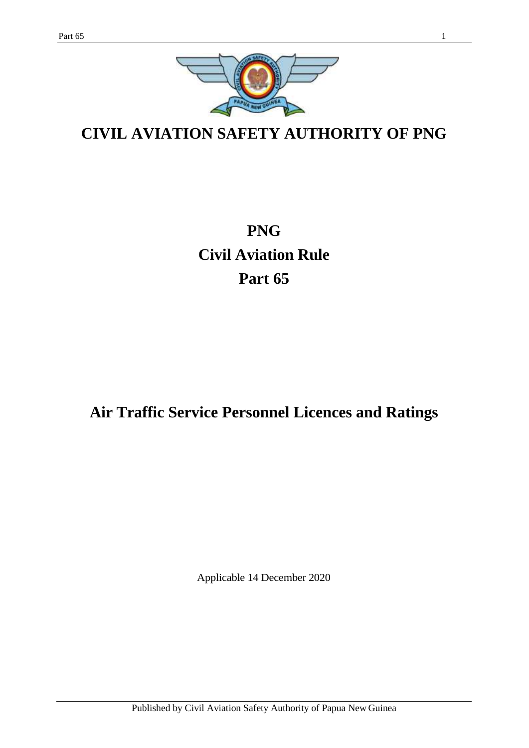

**CIVIL AVIATION SAFETY AUTHORITY OF PNG**

**PNG Civil Aviation Rule Part 65**

# **Air Traffic Service Personnel Licences and Ratings**

Applicable 14 December 2020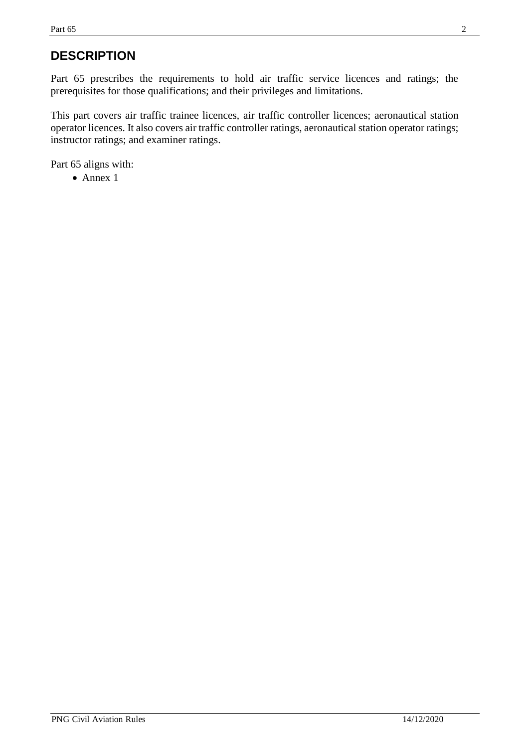# **DESCRIPTION**

Part 65 prescribes the requirements to hold air traffic service licences and ratings; the prerequisites for those qualifications; and their privileges and limitations.

This part covers air traffic trainee licences, air traffic controller licences; aeronautical station operator licences. It also covers air traffic controller ratings, aeronautical station operator ratings; instructor ratings; and examiner ratings.

Part 65 aligns with:

• Annex 1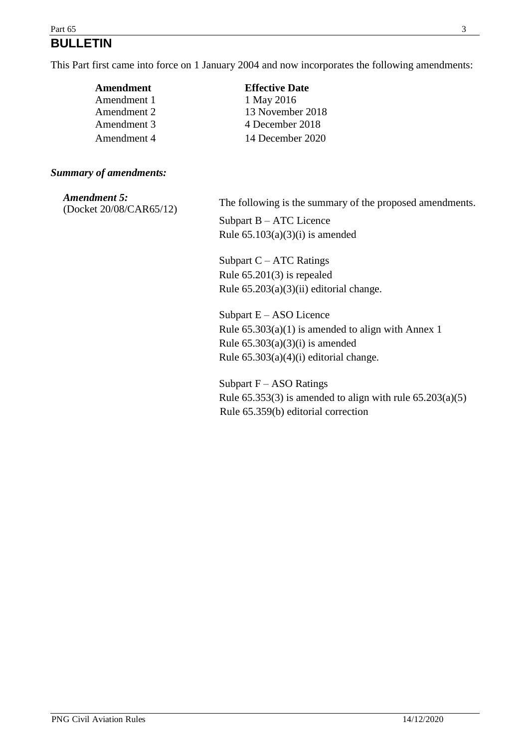### Part 65  $\frac{3}{2}$ **BULLETIN**

This Part first came into force on 1 January 2004 and now incorporates the following amendments:

| Amendment   | <b>Effective Date</b> |
|-------------|-----------------------|
| Amendment 1 | 1 May 2016            |
| Amendment 2 | 13 November 2018      |
| Amendment 3 | 4 December 2018       |
| Amendment 4 | 14 December 2020      |

### *Summary of amendments:*

| Amendment 5:<br>(Docket 20/08/CAR65/12) | The following is the summary of the proposed amendments. |
|-----------------------------------------|----------------------------------------------------------|
|                                         | Subpart $B - ATC$ Licence                                |
|                                         | Rule $65.103(a)(3)(i)$ is amended                        |
|                                         | Subpart $C - ATC$ Ratings                                |
|                                         | Rule $65.201(3)$ is repealed                             |
|                                         | Rule $65.203(a)(3)(ii)$ editorial change.                |
|                                         | Subpart $E - ASO$ Licence                                |
|                                         | Rule $65.303(a)(1)$ is amended to align with Annex 1     |
|                                         | Rule $65.303(a)(3)(i)$ is amended                        |
|                                         | Rule $65.303(a)(4)(i)$ editorial change.                 |
|                                         | Subpart $F = A S \Omega R$ atinos                        |

Subpart  $F - ASO$  Ratings Rule  $65.353(3)$  is amended to align with rule  $65.203(a)(5)$ Rule 65.359(b) editorial correction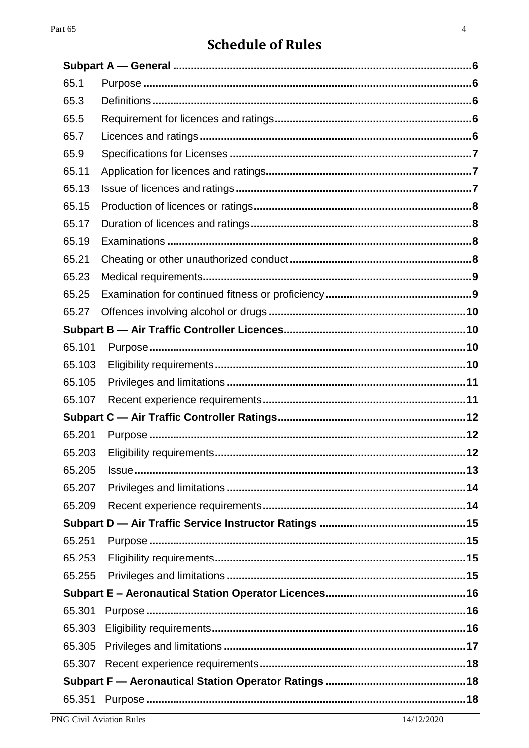# **Schedule of Rules**

| 65.1   |            |  |
|--------|------------|--|
| 65.3   |            |  |
| 65.5   |            |  |
| 65.7   |            |  |
| 65.9   |            |  |
| 65.11  |            |  |
| 65.13  |            |  |
| 65.15  |            |  |
| 65.17  |            |  |
| 65.19  |            |  |
| 65.21  |            |  |
| 65.23  |            |  |
| 65.25  |            |  |
| 65.27  |            |  |
|        |            |  |
| 65.101 |            |  |
| 65.103 |            |  |
| 65.105 |            |  |
| 65.107 |            |  |
|        |            |  |
| 65.201 |            |  |
| 65.203 |            |  |
| 65.205 | $\sqrt{3}$ |  |
| 65.207 |            |  |
| 65.209 |            |  |
|        |            |  |
| 65.251 |            |  |
| 65.253 |            |  |
| 65.255 |            |  |
|        |            |  |
| 65.301 |            |  |
| 65.303 |            |  |
| 65.305 |            |  |
| 65.307 |            |  |
|        |            |  |
| 65.351 |            |  |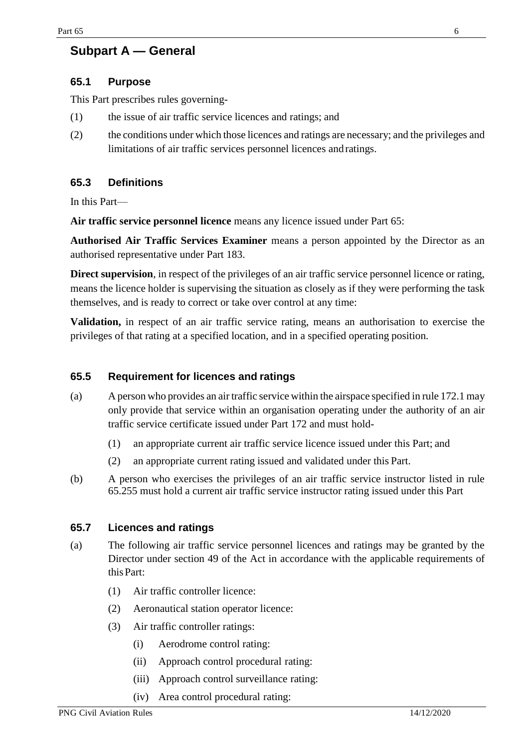## <span id="page-5-0"></span>**Subpart A — General**

### <span id="page-5-1"></span>**65.1 Purpose**

This Part prescribes rules governing-

- (1) the issue of air traffic service licences and ratings; and
- (2) the conditions under which those licences and ratings are necessary; and the privileges and limitations of air traffic services personnel licences andratings.

### <span id="page-5-2"></span>**65.3 Definitions**

In this Part—

**Air traffic service personnel licence** means any licence issued under Part 65:

**Authorised Air Traffic Services Examiner** means a person appointed by the Director as an authorised representative under Part 183.

**Direct supervision**, in respect of the privileges of an air traffic service personnel licence or rating, means the licence holder is supervising the situation as closely as if they were performing the task themselves, and is ready to correct or take over control at any time:

**Validation,** in respect of an air traffic service rating, means an authorisation to exercise the privileges of that rating at a specified location, and in a specified operating position.

### <span id="page-5-3"></span>**65.5 Requirement for licences and ratings**

- (a) A person who provides an air traffic service within the airspace specified in rule 172.1 may only provide that service within an organisation operating under the authority of an air traffic service certificate issued under Part 172 and must hold-
	- (1) an appropriate current air traffic service licence issued under this Part; and
	- (2) an appropriate current rating issued and validated under this Part.
- (b) A person who exercises the privileges of an air traffic service instructor listed in rule 65.255 must hold a current air traffic service instructor rating issued under this Part

### <span id="page-5-4"></span>**65.7 Licences and ratings**

- (a) The following air traffic service personnel licences and ratings may be granted by the Director under section 49 of the Act in accordance with the applicable requirements of thisPart:
	- (1) Air traffic controller licence:
	- (2) Aeronautical station operator licence:
	- (3) Air traffic controller ratings:
		- (i) Aerodrome control rating:
		- (ii) Approach control procedural rating:
		- (iii) Approach control surveillance rating:
		- (iv) Area control procedural rating: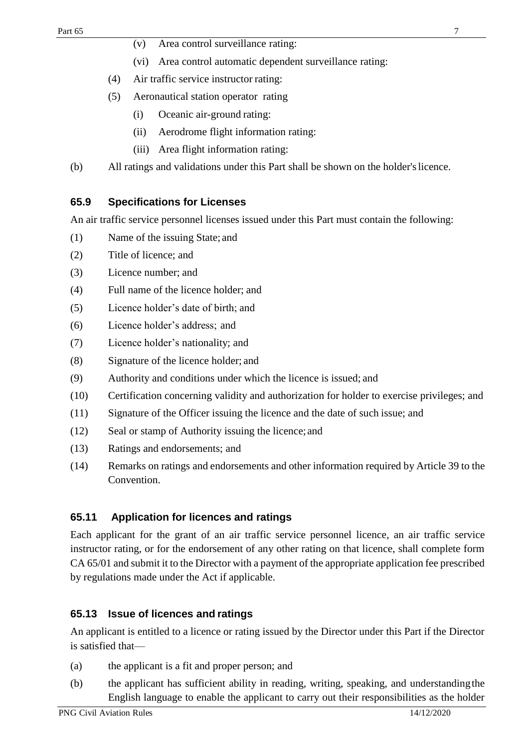- (v) Area control surveillance rating:
- (vi) Area control automatic dependent surveillance rating:
- (4) Air traffic service instructor rating:
- (5) Aeronautical station operator rating
	- (i) Oceanic air-ground rating:
	- (ii) Aerodrome flight information rating:
	- (iii) Area flight information rating:
- (b) All ratings and validations under this Part shall be shown on the holder'slicence.

### <span id="page-6-0"></span>**65.9 Specifications for Licenses**

An air traffic service personnel licenses issued under this Part must contain the following:

- (1) Name of the issuing State; and
- (2) Title of licence; and
- (3) Licence number; and
- (4) Full name of the licence holder; and
- (5) Licence holder's date of birth; and
- (6) Licence holder's address; and
- (7) Licence holder's nationality; and
- (8) Signature of the licence holder; and
- (9) Authority and conditions under which the licence is issued; and
- (10) Certification concerning validity and authorization for holder to exercise privileges; and
- (11) Signature of the Officer issuing the licence and the date of such issue; and
- (12) Seal or stamp of Authority issuing the licence; and
- (13) Ratings and endorsements; and
- (14) Remarks on ratings and endorsements and other information required by Article 39 to the Convention.

### <span id="page-6-1"></span>**65.11 Application for licences and ratings**

Each applicant for the grant of an air traffic service personnel licence, an air traffic service instructor rating, or for the endorsement of any other rating on that licence, shall complete form CA 65/01 and submit it to the Director with a payment of the appropriate application fee prescribed by regulations made under the Act if applicable.

### <span id="page-6-2"></span>**65.13 Issue of licences and ratings**

An applicant is entitled to a licence or rating issued by the Director under this Part if the Director is satisfied that—

- (a) the applicant is a fit and proper person; and
- (b) the applicant has sufficient ability in reading, writing, speaking, and understandingthe English language to enable the applicant to carry out their responsibilities as the holder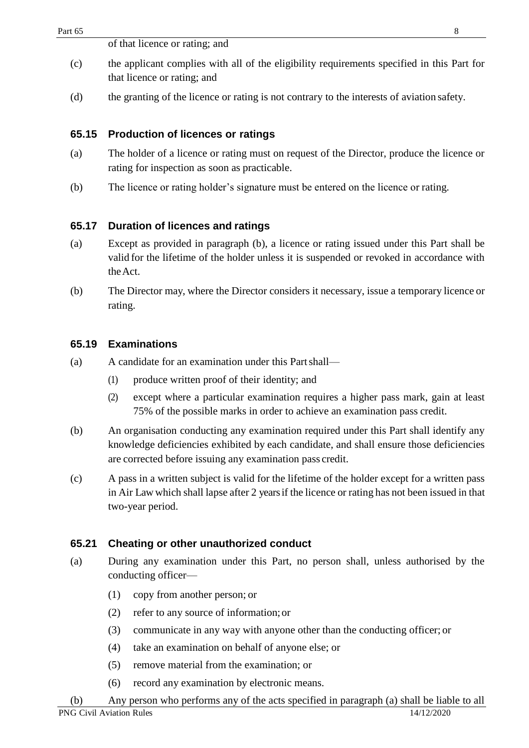### <span id="page-7-0"></span>**65.15 Production of licences or ratings**

- (a) The holder of a licence or rating must on request of the Director, produce the licence or rating for inspection as soon as practicable.
- (b) The licence or rating holder's signature must be entered on the licence or rating.

### <span id="page-7-1"></span>**65.17 Duration of licences and ratings**

- (a) Except as provided in paragraph (b), a licence or rating issued under this Part shall be valid for the lifetime of the holder unless it is suspended or revoked in accordance with theAct.
- (b) The Director may, where the Director considers it necessary, issue a temporary licence or rating.

### <span id="page-7-2"></span>**65.19 Examinations**

- (a) A candidate for an examination under this Partshall—
	- (1) produce written proof of their identity; and
	- (2) except where a particular examination requires a higher pass mark, gain at least 75% of the possible marks in order to achieve an examination pass credit.
- (b) An organisation conducting any examination required under this Part shall identify any knowledge deficiencies exhibited by each candidate, and shall ensure those deficiencies are corrected before issuing any examination pass credit.
- (c) A pass in a written subject is valid for the lifetime of the holder except for a written pass in Air Law which shall lapse after 2 yearsif the licence or rating has not been issued in that two-year period.

### <span id="page-7-3"></span>**65.21 Cheating or other unauthorized conduct**

- (a) During any examination under this Part, no person shall, unless authorised by the conducting officer—
	- (1) copy from another person; or
	- (2) refer to any source of information;or
	- (3) communicate in any way with anyone other than the conducting officer; or
	- (4) take an examination on behalf of anyone else; or
	- (5) remove material from the examination; or
	- (6) record any examination by electronic means.

PNG Civil Aviation Rules 14/12/2020 (b) Any person who performs any of the acts specified in paragraph (a) shall be liable to all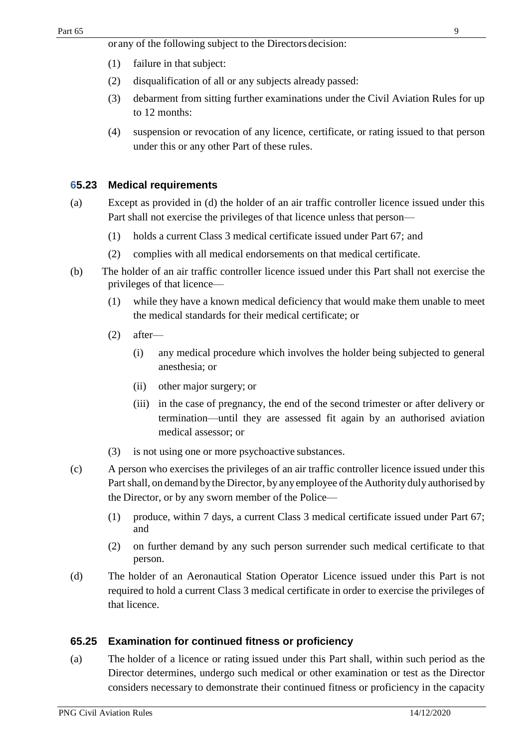- (1) failure in that subject:
- (2) disqualification of all or any subjects already passed:
- (3) debarment from sitting further examinations under the Civil Aviation Rules for up to 12 months:
- (4) suspension or revocation of any licence, certificate, or rating issued to that person under this or any other Part of these rules.

### <span id="page-8-0"></span>**65.23 Medical requirements**

- (a) Except as provided in (d) the holder of an air traffic controller licence issued under this Part shall not exercise the privileges of that licence unless that person—
	- (1) holds a current Class 3 medical certificate issued under Part 67; and
	- (2) complies with all medical endorsements on that medical certificate.
- (b) The holder of an air traffic controller licence issued under this Part shall not exercise the privileges of that licence—
	- (1) while they have a known medical deficiency that would make them unable to meet the medical standards for their medical certificate; or
	- (2) after—
		- (i) any medical procedure which involves the holder being subjected to general anesthesia; or
		- (ii) other major surgery; or
		- (iii) in the case of pregnancy, the end of the second trimester or after delivery or termination—until they are assessed fit again by an authorised aviation medical assessor; or
	- (3) is not using one or more psychoactive substances.
- (c) A person who exercises the privileges of an air traffic controller licence issued under this Part shall, on demand by the Director, by any employee of the Authority duly authorised by the Director, or by any sworn member of the Police—
	- (1) produce, within 7 days, a current Class 3 medical certificate issued under Part 67; and
	- (2) on further demand by any such person surrender such medical certificate to that person.
- (d) The holder of an Aeronautical Station Operator Licence issued under this Part is not required to hold a current Class 3 medical certificate in order to exercise the privileges of that licence.

### <span id="page-8-1"></span>**65.25 Examination for continued fitness or proficiency**

(a) The holder of a licence or rating issued under this Part shall, within such period as the Director determines, undergo such medical or other examination or test as the Director considers necessary to demonstrate their continued fitness or proficiency in the capacity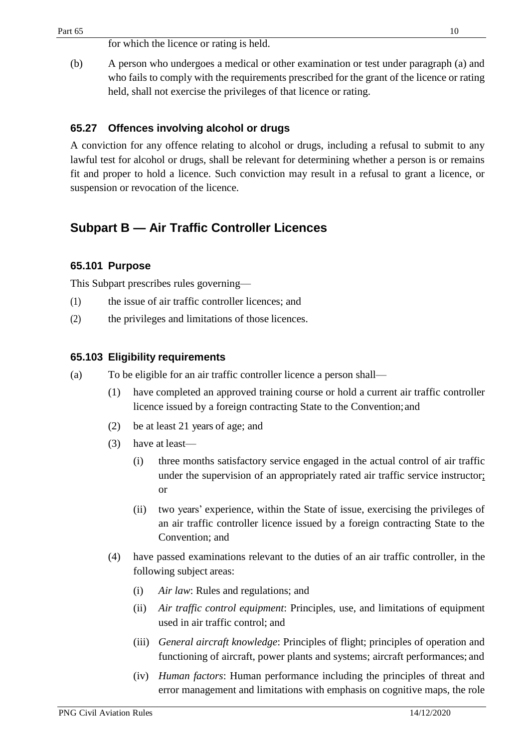for which the licence or rating is held.

(b) A person who undergoes a medical or other examination or test under paragraph (a) and who fails to comply with the requirements prescribed for the grant of the licence or rating held, shall not exercise the privileges of that licence or rating.

### <span id="page-9-0"></span>**65.27 Offences involving alcohol or drugs**

A conviction for any offence relating to alcohol or drugs, including a refusal to submit to any lawful test for alcohol or drugs, shall be relevant for determining whether a person is or remains fit and proper to hold a licence. Such conviction may result in a refusal to grant a licence, or suspension or revocation of the licence.

### <span id="page-9-1"></span>**Subpart B — Air Traffic Controller Licences**

### <span id="page-9-2"></span>**65.101 Purpose**

This Subpart prescribes rules governing—

- (1) the issue of air traffic controller licences; and
- (2) the privileges and limitations of those licences.

#### <span id="page-9-3"></span>**65.103 Eligibility requirements**

- (a) To be eligible for an air traffic controller licence a person shall—
	- (1) have completed an approved training course or hold a current air traffic controller licence issued by a foreign contracting State to the Convention;and
	- (2) be at least 21 years of age; and
	- (3) have at least—
		- (i) three months satisfactory service engaged in the actual control of air traffic under the supervision of an appropriately rated air traffic service instructor; or
		- (ii) two years' experience, within the State of issue, exercising the privileges of an air traffic controller licence issued by a foreign contracting State to the Convention; and
	- (4) have passed examinations relevant to the duties of an air traffic controller, in the following subject areas:
		- (i) *Air law*: Rules and regulations; and
		- (ii) *Air traffic control equipment*: Principles, use, and limitations of equipment used in air traffic control; and
		- (iii) *General aircraft knowledge*: Principles of flight; principles of operation and functioning of aircraft, power plants and systems; aircraft performances; and
		- (iv) *Human factors*: Human performance including the principles of threat and error management and limitations with emphasis on cognitive maps, the role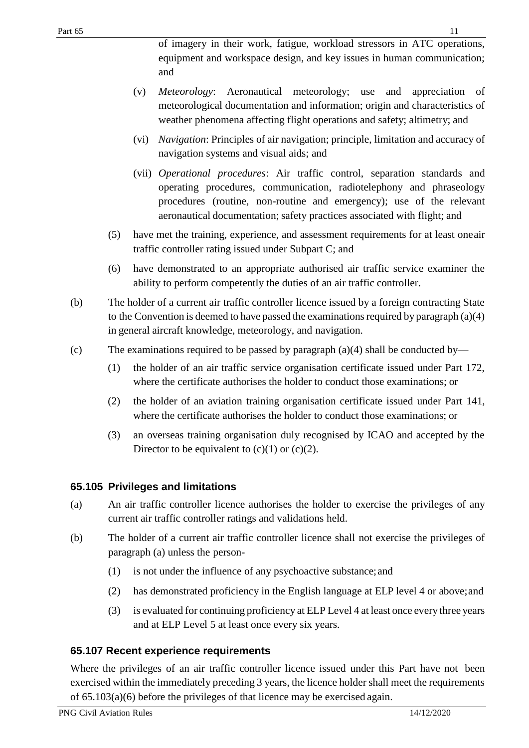of imagery in their work, fatigue, workload stressors in ATC operations, equipment and workspace design, and key issues in human communication; and

- (v) *Meteorology*: Aeronautical meteorology; use and appreciation of meteorological documentation and information; origin and characteristics of weather phenomena affecting flight operations and safety; altimetry; and
- (vi) *Navigation*: Principles of air navigation; principle, limitation and accuracy of navigation systems and visual aids; and
- (vii) *Operational procedures*: Air traffic control, separation standards and operating procedures, communication, radiotelephony and phraseology procedures (routine, non-routine and emergency); use of the relevant aeronautical documentation; safety practices associated with flight; and
- (5) have met the training, experience, and assessment requirements for at least oneair traffic controller rating issued under Subpart C; and
- (6) have demonstrated to an appropriate authorised air traffic service examiner the ability to perform competently the duties of an air traffic controller.
- (b) The holder of a current air traffic controller licence issued by a foreign contracting State to the Convention is deemed to have passed the examinations required by paragraph  $(a)(4)$ in general aircraft knowledge, meteorology, and navigation.
- (c) The examinations required to be passed by paragraph (a)(4) shall be conducted by—
	- (1) the holder of an air traffic service organisation certificate issued under Part 172, where the certificate authorises the holder to conduct those examinations; or
	- (2) the holder of an aviation training organisation certificate issued under Part 141, where the certificate authorises the holder to conduct those examinations; or
	- (3) an overseas training organisation duly recognised by ICAO and accepted by the Director to be equivalent to  $(c)(1)$  or  $(c)(2)$ .

### <span id="page-10-0"></span>**65.105 Privileges and limitations**

- (a) An air traffic controller licence authorises the holder to exercise the privileges of any current air traffic controller ratings and validations held.
- (b) The holder of a current air traffic controller licence shall not exercise the privileges of paragraph (a) unless the person-
	- (1) is not under the influence of any psychoactive substance;and
	- (2) has demonstrated proficiency in the English language at ELP level 4 or above;and
	- (3) is evaluated for continuing proficiency at ELP Level 4 at least once every three years and at ELP Level 5 at least once every six years.

### <span id="page-10-1"></span>**65.107 Recent experience requirements**

Where the privileges of an air traffic controller licence issued under this Part have not been exercised within the immediately preceding 3 years, the licence holder shall meet the requirements of 65.103(a)(6) before the privileges of that licence may be exercised again.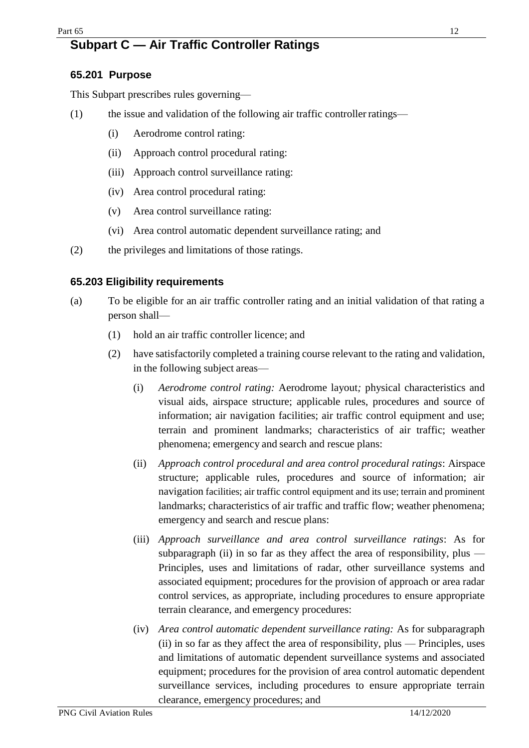# <span id="page-11-0"></span>**Subpart C — Air Traffic Controller Ratings**

### <span id="page-11-1"></span>**65.201 Purpose**

This Subpart prescribes rules governing—

- (1) the issue and validation of the following air traffic controllerratings—
	- (i) Aerodrome control rating:
	- (ii) Approach control procedural rating:
	- (iii) Approach control surveillance rating:
	- (iv) Area control procedural rating:
	- (v) Area control surveillance rating:
	- (vi) Area control automatic dependent surveillance rating; and
- (2) the privileges and limitations of those ratings.

### <span id="page-11-2"></span>**65.203 Eligibility requirements**

- (a) To be eligible for an air traffic controller rating and an initial validation of that rating a person shall—
	- (1) hold an air traffic controller licence; and
	- (2) have satisfactorily completed a training course relevant to the rating and validation, in the following subject areas—
		- (i) *Aerodrome control rating:* Aerodrome layout*;* physical characteristics and visual aids, airspace structure; applicable rules, procedures and source of information; air navigation facilities; air traffic control equipment and use; terrain and prominent landmarks; characteristics of air traffic; weather phenomena; emergency and search and rescue plans:
		- (ii) *Approach control procedural and area control procedural ratings*: Airspace structure; applicable rules, procedures and source of information; air navigation facilities; air traffic control equipment and its use; terrain and prominent landmarks; characteristics of air traffic and traffic flow; weather phenomena; emergency and search and rescue plans:
		- (iii) *Approach surveillance and area control surveillance ratings*: As for subparagraph (ii) in so far as they affect the area of responsibility, plus  $-$ Principles, uses and limitations of radar, other surveillance systems and associated equipment; procedures for the provision of approach or area radar control services, as appropriate, including procedures to ensure appropriate terrain clearance, and emergency procedures:
		- (iv) *Area control automatic dependent surveillance rating:* As for subparagraph (ii) in so far as they affect the area of responsibility, plus — Principles, uses and limitations of automatic dependent surveillance systems and associated equipment; procedures for the provision of area control automatic dependent surveillance services, including procedures to ensure appropriate terrain clearance, emergency procedures; and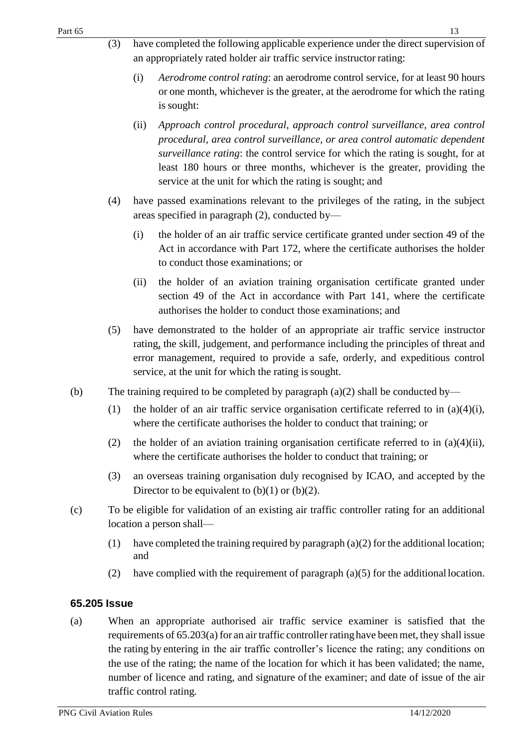- (3) have completed the following applicable experience under the direct supervision of an appropriately rated holder air traffic service instructor rating:
	- (i) *Aerodrome control rating*: an aerodrome control service, for at least 90 hours or one month, whichever is the greater, at the aerodrome for which the rating is sought:
	- (ii) *Approach control procedural, approach control surveillance, area control procedural, area control surveillance, or area control automatic dependent surveillance rating*: the control service for which the rating is sought, for at least 180 hours or three months, whichever is the greater, providing the service at the unit for which the rating is sought; and
- (4) have passed examinations relevant to the privileges of the rating, in the subject areas specified in paragraph (2), conducted by—
	- (i) the holder of an air traffic service certificate granted under section 49 of the Act in accordance with Part 172, where the certificate authorises the holder to conduct those examinations; or
	- (ii) the holder of an aviation training organisation certificate granted under section 49 of the Act in accordance with Part 141, where the certificate authorises the holder to conduct those examinations; and
- (5) have demonstrated to the holder of an appropriate air traffic service instructor rating, the skill, judgement, and performance including the principles of threat and error management, required to provide a safe, orderly, and expeditious control service, at the unit for which the rating is sought.
- (b) The training required to be completed by paragraph  $(a)(2)$  shall be conducted by—
	- (1) the holder of an air traffic service organisation certificate referred to in  $(a)(4)(i)$ , where the certificate authorises the holder to conduct that training; or
	- (2) the holder of an aviation training organisation certificate referred to in  $(a)(4)(ii)$ , where the certificate authorises the holder to conduct that training; or
	- (3) an overseas training organisation duly recognised by ICAO, and accepted by the Director to be equivalent to  $(b)(1)$  or  $(b)(2)$ .
- (c) To be eligible for validation of an existing air traffic controller rating for an additional location a person shall—
	- (1) have completed the training required by paragraph (a)(2) for the additional location; and
	- (2) have complied with the requirement of paragraph (a)(5) for the additionallocation.

### <span id="page-12-0"></span>**65.205 Issue**

(a) When an appropriate authorised air traffic service examiner is satisfied that the requirements of  $65.203(a)$  for an air traffic controller rating have been met, they shall issue the rating by entering in the air traffic controller's licence the rating; any conditions on the use of the rating; the name of the location for which it has been validated; the name, number of licence and rating, and signature of the examiner; and date of issue of the air traffic control rating*.*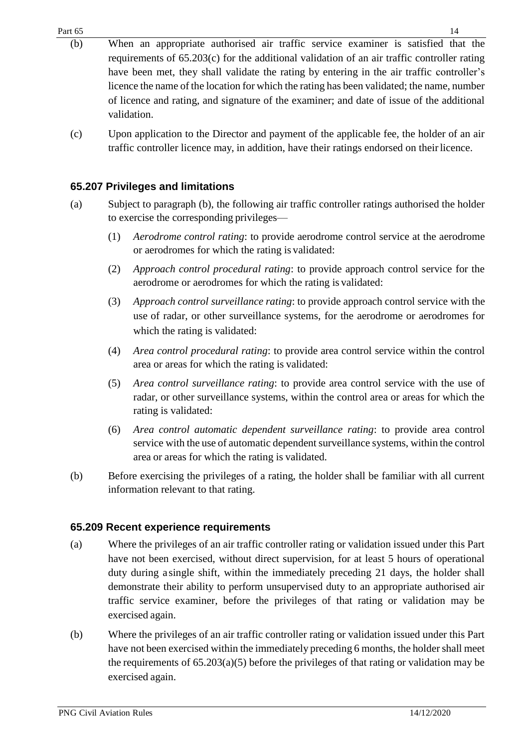- (b) When an appropriate authorised air traffic service examiner is satisfied that the requirements of 65.203(c) for the additional validation of an air traffic controller rating have been met, they shall validate the rating by entering in the air traffic controller's licence the name of the location for which the rating has been validated; the name, number of licence and rating, and signature of the examiner; and date of issue of the additional validation.
- (c) Upon application to the Director and payment of the applicable fee, the holder of an air traffic controller licence may, in addition, have their ratings endorsed on theirlicence.

### <span id="page-13-0"></span>**65.207 Privileges and limitations**

- (a) Subject to paragraph (b), the following air traffic controller ratings authorised the holder to exercise the corresponding privileges—
	- (1) *Aerodrome control rating*: to provide aerodrome control service at the aerodrome or aerodromes for which the rating is validated:
	- (2) *Approach control procedural rating*: to provide approach control service for the aerodrome or aerodromes for which the rating is validated:
	- (3) *Approach control surveillance rating*: to provide approach control service with the use of radar, or other surveillance systems, for the aerodrome or aerodromes for which the rating is validated:
	- (4) *Area control procedural rating*: to provide area control service within the control area or areas for which the rating is validated:
	- (5) *Area control surveillance rating*: to provide area control service with the use of radar, or other surveillance systems, within the control area or areas for which the rating is validated:
	- (6) *Area control automatic dependent surveillance rating*: to provide area control service with the use of automatic dependent surveillance systems, within the control area or areas for which the rating is validated.
- (b) Before exercising the privileges of a rating, the holder shall be familiar with all current information relevant to that rating.

#### <span id="page-13-1"></span>**65.209 Recent experience requirements**

- (a) Where the privileges of an air traffic controller rating or validation issued under this Part have not been exercised, without direct supervision, for at least 5 hours of operational duty during a single shift, within the immediately preceding 21 days, the holder shall demonstrate their ability to perform unsupervised duty to an appropriate authorised air traffic service examiner, before the privileges of that rating or validation may be exercised again.
- (b) Where the privileges of an air traffic controller rating or validation issued under this Part have not been exercised within the immediately preceding 6 months, the holder shall meet the requirements of  $(65.203(a)(5))$  before the privileges of that rating or validation may be exercised again.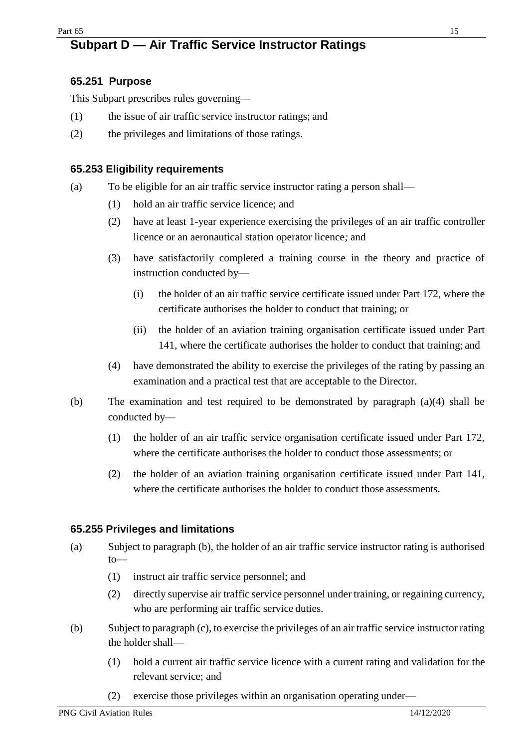# <span id="page-14-0"></span>**Subpart D — Air Traffic Service Instructor Ratings**

### <span id="page-14-1"></span>**65.251 Purpose**

This Subpart prescribes rules governing—

- (1) the issue of air traffic service instructor ratings; and
- (2) the privileges and limitations of those ratings.

#### <span id="page-14-2"></span>**65.253 Eligibility requirements**

- (a) To be eligible for an air traffic service instructor rating a person shall—
	- (1) hold an air traffic service licence; and
	- (2) have at least 1-year experience exercising the privileges of an air traffic controller licence or an aeronautical station operator licence*;* and
	- (3) have satisfactorily completed a training course in the theory and practice of instruction conducted by—
		- (i) the holder of an air traffic service certificate issued under Part 172, where the certificate authorises the holder to conduct that training; or
		- (ii) the holder of an aviation training organisation certificate issued under Part 141, where the certificate authorises the holder to conduct that training; and
	- (4) have demonstrated the ability to exercise the privileges of the rating by passing an examination and a practical test that are acceptable to the Director.
- (b) The examination and test required to be demonstrated by paragraph (a)(4) shall be conducted by—
	- (1) the holder of an air traffic service organisation certificate issued under Part 172, where the certificate authorises the holder to conduct those assessments; or
	- (2) the holder of an aviation training organisation certificate issued under Part 141, where the certificate authorises the holder to conduct those assessments.

#### <span id="page-14-3"></span>**65.255 Privileges and limitations**

- (a) Subject to paragraph (b), the holder of an air traffic service instructor rating is authorised to—
	- (1) instruct air traffic service personnel; and
	- (2) directly supervise air traffic service personnel under training, or regaining currency, who are performing air traffic service duties.
- (b) Subject to paragraph (c), to exercise the privileges of an air traffic service instructor rating the holder shall—
	- (1) hold a current air traffic service licence with a current rating and validation for the relevant service; and
	- (2) exercise those privileges within an organisation operating under—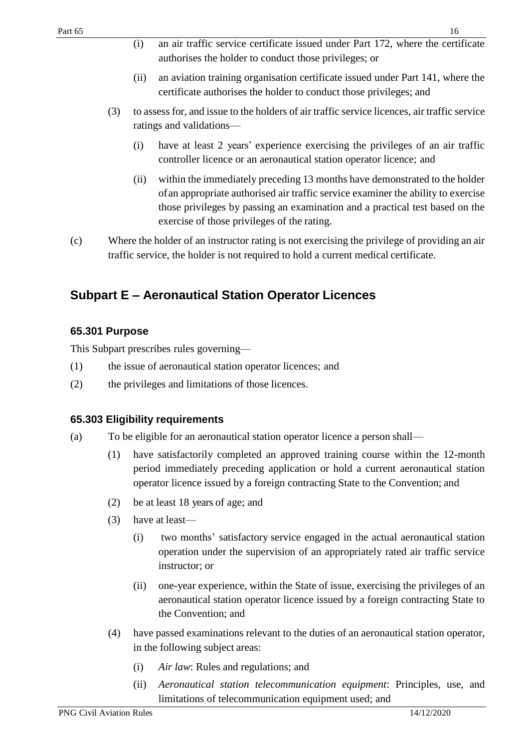- (i) an air traffic service certificate issued under Part 172, where the certificate authorises the holder to conduct those privileges; or
- (ii) an aviation training organisation certificate issued under Part 141, where the certificate authorises the holder to conduct those privileges; and
- (3) to assess for, and issue to the holders of air traffic service licences, air traffic service ratings and validations—
	- (i) have at least 2 years' experience exercising the privileges of an air traffic controller licence or an aeronautical station operator licence; and
	- (ii) within the immediately preceding 13 months have demonstrated to the holder ofan appropriate authorised air traffic service examiner the ability to exercise those privileges by passing an examination and a practical test based on the exercise of those privileges of the rating.
- (c) Where the holder of an instructor rating is not exercising the privilege of providing an air traffic service, the holder is not required to hold a current medical certificate.

# <span id="page-15-0"></span>**Subpart E – Aeronautical Station Operator Licences**

### <span id="page-15-1"></span>**65.301 Purpose**

This Subpart prescribes rules governing—

- (1) the issue of aeronautical station operator licences; and
- (2) the privileges and limitations of those licences.

### <span id="page-15-2"></span>**65.303 Eligibility requirements**

- (a) To be eligible for an aeronautical station operator licence a person shall—
	- (1) have satisfactorily completed an approved training course within the 12-month period immediately preceding application or hold a current aeronautical station operator licence issued by a foreign contracting State to the Convention; and
	- (2) be at least 18 years of age; and
	- (3) have at least—
		- (i) two months' satisfactory service engaged in the actual aeronautical station operation under the supervision of an appropriately rated air traffic service instructor; or
		- (ii) one-year experience, within the State of issue, exercising the privileges of an aeronautical station operator licence issued by a foreign contracting State to the Convention; and
	- (4) have passed examinations relevant to the duties of an aeronautical station operator, in the following subject areas:
		- (i) *Air law*: Rules and regulations; and
		- (ii) *Aeronautical station telecommunication equipment*: Principles, use, and limitations of telecommunication equipment used; and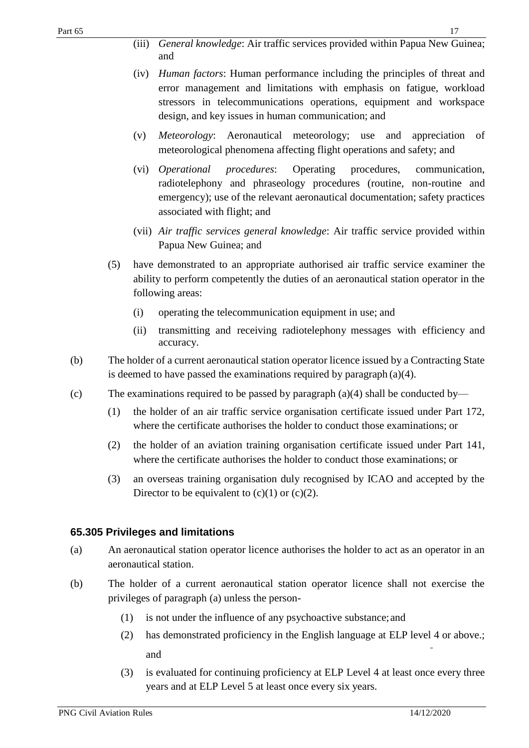- (iii) *General knowledge*: Air traffic services provided within Papua New Guinea; and
- (iv) *Human factors*: Human performance including the principles of threat and error management and limitations with emphasis on fatigue, workload stressors in telecommunications operations, equipment and workspace design, and key issues in human communication; and
- (v) *Meteorology*: Aeronautical meteorology; use and appreciation of meteorological phenomena affecting flight operations and safety; and
- (vi) *Operational procedures*: Operating procedures, communication, radiotelephony and phraseology procedures (routine, non-routine and emergency); use of the relevant aeronautical documentation; safety practices associated with flight; and
- (vii) *Air traffic services general knowledge*: Air traffic service provided within Papua New Guinea; and
- (5) have demonstrated to an appropriate authorised air traffic service examiner the ability to perform competently the duties of an aeronautical station operator in the following areas:
	- (i) operating the telecommunication equipment in use; and
	- (ii) transmitting and receiving radiotelephony messages with efficiency and accuracy.
- (b) The holder of a current aeronautical station operator licence issued by a Contracting State is deemed to have passed the examinations required by paragraph (a)(4).
- (c) The examinations required to be passed by paragraph (a)(4) shall be conducted by—
	- (1) the holder of an air traffic service organisation certificate issued under Part 172, where the certificate authorises the holder to conduct those examinations; or
	- (2) the holder of an aviation training organisation certificate issued under Part 141, where the certificate authorises the holder to conduct those examinations; or
	- (3) an overseas training organisation duly recognised by ICAO and accepted by the Director to be equivalent to  $(c)(1)$  or  $(c)(2)$ .

### <span id="page-16-0"></span>**65.305 Privileges and limitations**

- (a) An aeronautical station operator licence authorises the holder to act as an operator in an aeronautical station.
- (b) The holder of a current aeronautical station operator licence shall not exercise the privileges of paragraph (a) unless the person-
	- (1) is not under the influence of any psychoactive substance;and
	- (2) has demonstrated proficiency in the English language at ELP level 4 or above.; and
	- (3) is evaluated for continuing proficiency at ELP Level 4 at least once every three years and at ELP Level 5 at least once every six years.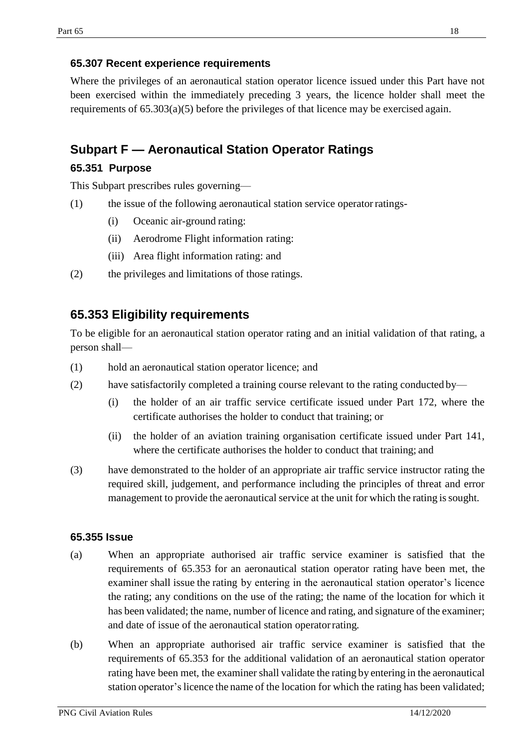### <span id="page-17-0"></span>**65.307 Recent experience requirements**

Where the privileges of an aeronautical station operator licence issued under this Part have not been exercised within the immediately preceding 3 years, the licence holder shall meet the requirements of 65.303(a)(5) before the privileges of that licence may be exercised again.

### <span id="page-17-1"></span>**Subpart F — Aeronautical Station Operator Ratings**

### <span id="page-17-2"></span>**65.351 Purpose**

This Subpart prescribes rules governing—

- (1) the issue of the following aeronautical station service operatorratings-
	- (i) Oceanic air-ground rating:
	- (ii) Aerodrome Flight information rating:
	- (iii) Area flight information rating: and
- (2) the privileges and limitations of those ratings.

### <span id="page-17-3"></span>**65.353 Eligibility requirements**

To be eligible for an aeronautical station operator rating and an initial validation of that rating, a person shall—

- (1) hold an aeronautical station operator licence; and
- (2) have satisfactorily completed a training course relevant to the rating conducted by—
	- (i) the holder of an air traffic service certificate issued under Part 172, where the certificate authorises the holder to conduct that training; or
	- (ii) the holder of an aviation training organisation certificate issued under Part 141, where the certificate authorises the holder to conduct that training; and
- (3) have demonstrated to the holder of an appropriate air traffic service instructor rating the required skill, judgement, and performance including the principles of threat and error management to provide the aeronautical service at the unit for which the rating is sought.

#### <span id="page-17-4"></span>**65.355 Issue**

- (a) When an appropriate authorised air traffic service examiner is satisfied that the requirements of 65.353 for an aeronautical station operator rating have been met, the examiner shall issue the rating by entering in the aeronautical station operator's licence the rating; any conditions on the use of the rating; the name of the location for which it has been validated; the name, number of licence and rating, and signature of the examiner; and date of issue of the aeronautical station operatorrating*.*
- (b) When an appropriate authorised air traffic service examiner is satisfied that the requirements of 65.353 for the additional validation of an aeronautical station operator rating have been met, the examiner shall validate the rating by entering in the aeronautical station operator'slicence the name of the location for which the rating has been validated;